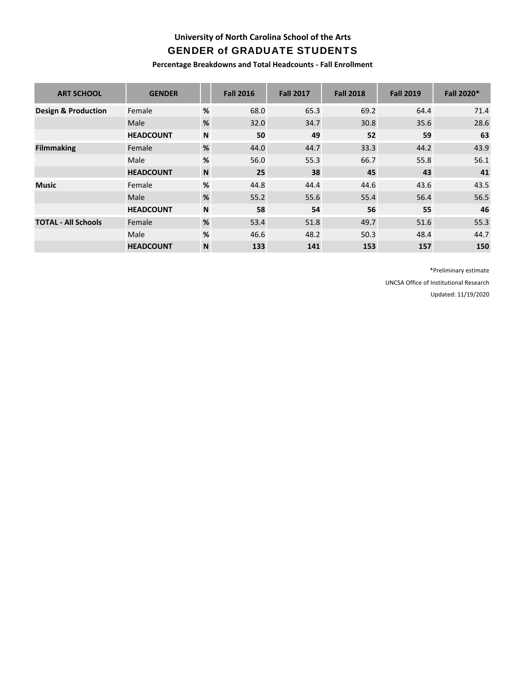**University of North Carolina School of the Arts**

# GENDER of GRADUATE STUDENTS

**Percentage Breakdowns and Total Headcounts ‐ Fall Enrollment**

| <b>ART SCHOOL</b>              | <b>GENDER</b>    |                           | <b>Fall 2016</b> | <b>Fall 2017</b> | <b>Fall 2018</b> | <b>Fall 2019</b> | Fall 2020* |
|--------------------------------|------------------|---------------------------|------------------|------------------|------------------|------------------|------------|
| <b>Design &amp; Production</b> | Female           | %                         | 68.0             | 65.3             | 69.2             | 64.4             | 71.4       |
|                                | Male             | $\%$                      | 32.0             | 34.7             | 30.8             | 35.6             | 28.6       |
|                                | <b>HEADCOUNT</b> | N                         | 50               | 49               | 52               | 59               | 63         |
| <b>Filmmaking</b>              | Female           | $\%$                      | 44.0             | 44.7             | 33.3             | 44.2             | 43.9       |
|                                | Male             | %                         | 56.0             | 55.3             | 66.7             | 55.8             | 56.1       |
|                                | <b>HEADCOUNT</b> | $\boldsymbol{\mathsf{N}}$ | 25               | 38               | 45               | 43               | 41         |
| <b>Music</b>                   | Female           | %                         | 44.8             | 44.4             | 44.6             | 43.6             | 43.5       |
|                                | Male             | $\%$                      | 55.2             | 55.6             | 55.4             | 56.4             | 56.5       |
|                                | <b>HEADCOUNT</b> | N                         | 58               | 54               | 56               | 55               | 46         |
| <b>TOTAL - All Schools</b>     | Female           | %                         | 53.4             | 51.8             | 49.7             | 51.6             | 55.3       |
|                                | Male             | %                         | 46.6             | 48.2             | 50.3             | 48.4             | 44.7       |
|                                | <b>HEADCOUNT</b> | N                         | 133              | 141              | 153              | 157              | 150        |

\*Preliminary estimate UNCSA Office of Institutional Research Updated: 11/19/2020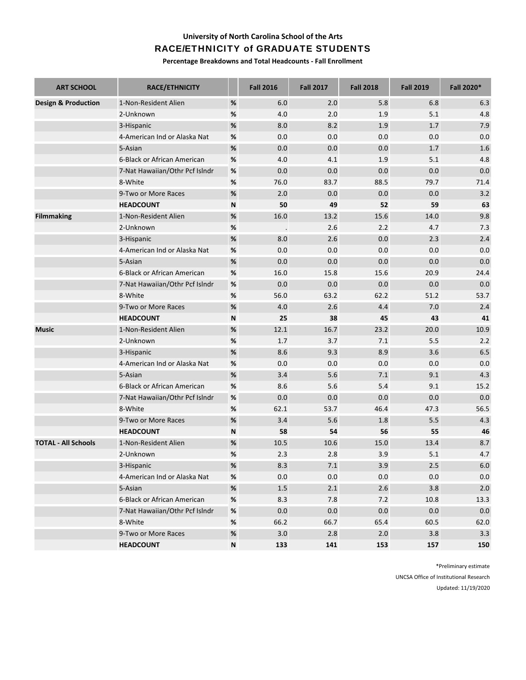#### **University of North Carolina School of the Arts**

#### RACE/ETHNICITY of GRADUATE STUDENTS

**Percentage Breakdowns and Total Headcounts ‐ Fall Enrollment**

| <b>ART SCHOOL</b>              | <b>RACE/ETHNICITY</b>          |      | <b>Fall 2016</b> | <b>Fall 2017</b> | <b>Fall 2018</b> | <b>Fall 2019</b> | Fall 2020* |
|--------------------------------|--------------------------------|------|------------------|------------------|------------------|------------------|------------|
| <b>Design &amp; Production</b> | 1-Non-Resident Alien           | $\%$ | 6.0              | 2.0              | 5.8              | 6.8              | 6.3        |
|                                | 2-Unknown                      | %    | 4.0              | 2.0              | 1.9              | 5.1              | 4.8        |
|                                | 3-Hispanic                     | $\%$ | 8.0              | 8.2              | 1.9              | 1.7              | 7.9        |
|                                | 4-American Ind or Alaska Nat   | $\%$ | 0.0              | 0.0              | 0.0              | 0.0              | 0.0        |
|                                | 5-Asian                        | $\%$ | 0.0              | 0.0              | 0.0              | 1.7              | 1.6        |
|                                | 6-Black or African American    | $\%$ | 4.0              | 4.1              | 1.9              | 5.1              | 4.8        |
|                                | 7-Nat Hawaiian/Othr Pcf Islndr | $\%$ | 0.0              | 0.0              | 0.0              | 0.0              | 0.0        |
|                                | 8-White                        | $\%$ | 76.0             | 83.7             | 88.5             | 79.7             | 71.4       |
|                                | 9-Two or More Races            | $\%$ | 2.0              | 0.0              | 0.0              | 0.0              | 3.2        |
|                                | <b>HEADCOUNT</b>               | N    | 50               | 49               | 52               | 59               | 63         |
| <b>Filmmaking</b>              | 1-Non-Resident Alien           | $\%$ | 16.0             | 13.2             | 15.6             | 14.0             | 9.8        |
|                                | 2-Unknown                      | $\%$ |                  | 2.6              | 2.2              | 4.7              | 7.3        |
|                                | 3-Hispanic                     | $\%$ | 8.0              | 2.6              | 0.0              | 2.3              | 2.4        |
|                                | 4-American Ind or Alaska Nat   | $\%$ | 0.0              | 0.0              | 0.0              | 0.0              | 0.0        |
|                                | 5-Asian                        | $\%$ | 0.0              | 0.0              | 0.0              | 0.0              | 0.0        |
|                                | 6-Black or African American    | $\%$ | 16.0             | 15.8             | 15.6             | 20.9             | 24.4       |
|                                | 7-Nat Hawaiian/Othr Pcf Islndr | $\%$ | 0.0              | 0.0              | 0.0              | 0.0              | 0.0        |
|                                | 8-White                        | $\%$ | 56.0             | 63.2             | 62.2             | 51.2             | 53.7       |
|                                | 9-Two or More Races            | $\%$ | 4.0              | 2.6              | 4.4              | 7.0              | 2.4        |
|                                | <b>HEADCOUNT</b>               | N    | 25               | 38               | 45               | 43               | 41         |
| <b>Music</b>                   | 1-Non-Resident Alien           | $\%$ | 12.1             | 16.7             | 23.2             | 20.0             | 10.9       |
|                                | 2-Unknown                      | $\%$ | 1.7              | 3.7              | 7.1              | 5.5              | 2.2        |
|                                | 3-Hispanic                     | $\%$ | 8.6              | 9.3              | 8.9              | 3.6              | 6.5        |
|                                | 4-American Ind or Alaska Nat   | $\%$ | 0.0              | 0.0              | 0.0              | 0.0              | 0.0        |
|                                | 5-Asian                        | $\%$ | 3.4              | 5.6              | 7.1              | 9.1              | 4.3        |
|                                | 6-Black or African American    | $\%$ | 8.6              | 5.6              | 5.4              | 9.1              | 15.2       |
|                                | 7-Nat Hawaiian/Othr Pcf Islndr | $\%$ | 0.0              | 0.0              | 0.0              | 0.0              | 0.0        |
|                                | 8-White                        | $\%$ | 62.1             | 53.7             | 46.4             | 47.3             | 56.5       |
|                                | 9-Two or More Races            | $\%$ | 3.4              | 5.6              | 1.8              | 5.5              | 4.3        |
|                                | <b>HEADCOUNT</b>               | N    | 58               | 54               | 56               | 55               | 46         |
| <b>TOTAL - All Schools</b>     | 1-Non-Resident Alien           | $\%$ | 10.5             | 10.6             | 15.0             | 13.4             | 8.7        |
|                                | 2-Unknown                      | %    | 2.3              | 2.8              | 3.9              | 5.1              | 4.7        |
|                                | 3-Hispanic                     | $\%$ | 8.3              | $7.1\,$          | 3.9              | $2.5\,$          | $6.0$      |
|                                | 4-American Ind or Alaska Nat   | $\%$ | $0.0\,$          | $0.0\,$          | $0.0\,$          | 0.0              | 0.0        |
|                                | 5-Asian                        | $\%$ | $1.5\,$          | 2.1              | 2.6              | 3.8              | 2.0        |
|                                | 6-Black or African American    | $\%$ | 8.3              | 7.8              | 7.2              | 10.8             | 13.3       |
|                                | 7-Nat Hawaiian/Othr Pcf Islndr | $\%$ | 0.0              | $0.0\,$          | 0.0              | 0.0              | 0.0        |
|                                | 8-White                        | $\%$ | 66.2             | 66.7             | 65.4             | 60.5             | 62.0       |
|                                | 9-Two or More Races            | $\%$ | 3.0              | 2.8              | $2.0$            | 3.8              | 3.3        |
|                                | <b>HEADCOUNT</b>               | N    | 133              | 141              | 153              | 157              | 150        |

\*Preliminary estimate UNCSA Office of Institutional Research Updated: 11/19/2020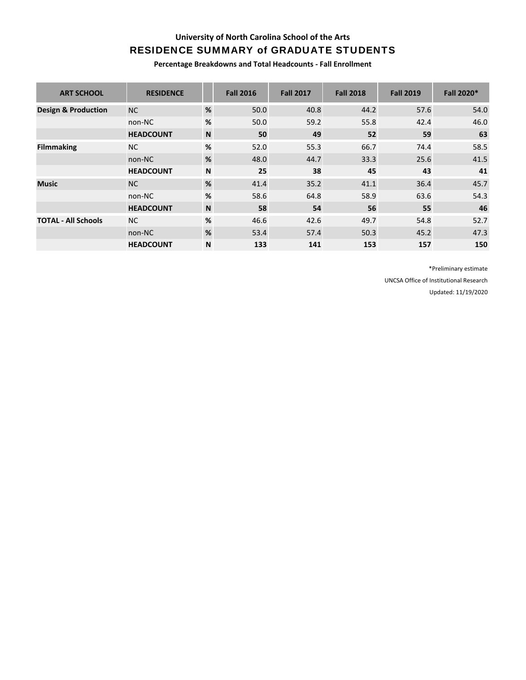### **University of North Carolina School of the Arts**

# RESIDENCE SUMMARY of GRADUATE STUDENTS

**Percentage Breakdowns and Total Headcounts ‐ Fall Enrollment**

| <b>ART SCHOOL</b>              | <b>RESIDENCE</b> |             | <b>Fall 2016</b> | <b>Fall 2017</b> | <b>Fall 2018</b> | <b>Fall 2019</b> | <b>Fall 2020*</b> |
|--------------------------------|------------------|-------------|------------------|------------------|------------------|------------------|-------------------|
| <b>Design &amp; Production</b> | <b>NC</b>        | %           | 50.0             | 40.8             | 44.2             | 57.6             | 54.0              |
|                                | non-NC           | %           | 50.0             | 59.2             | 55.8             | 42.4             | 46.0              |
|                                | <b>HEADCOUNT</b> | $\mathbf N$ | 50               | 49               | 52               | 59               | 63                |
| <b>Filmmaking</b>              | <b>NC</b>        | %           | 52.0             | 55.3             | 66.7             | 74.4             | 58.5              |
|                                | non-NC           | %           | 48.0             | 44.7             | 33.3             | 25.6             | 41.5              |
|                                | <b>HEADCOUNT</b> | N           | 25               | 38               | 45               | 43               | 41                |
| <b>Music</b>                   | NC.              | %           | 41.4             | 35.2             | 41.1             | 36.4             | 45.7              |
|                                | non-NC           | %           | 58.6             | 64.8             | 58.9             | 63.6             | 54.3              |
|                                | <b>HEADCOUNT</b> | N           | 58               | 54               | 56               | 55               | 46                |
| <b>TOTAL - All Schools</b>     | NC.              | $\%$        | 46.6             | 42.6             | 49.7             | 54.8             | 52.7              |
|                                | non-NC           | %           | 53.4             | 57.4             | 50.3             | 45.2             | 47.3              |
|                                | <b>HEADCOUNT</b> | N           | 133              | 141              | 153              | 157              | 150               |

\*Preliminary estimate UNCSA Office of Institutional Research

Updated: 11/19/2020